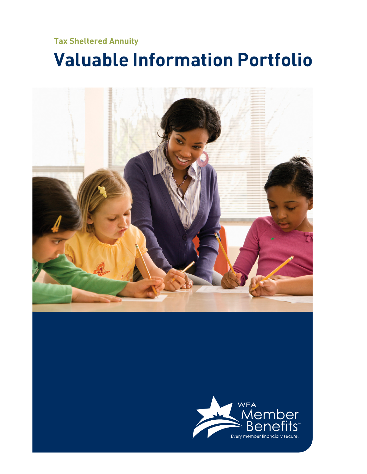# **Tax Sheltered Annuity Valuable Information Portfolio**

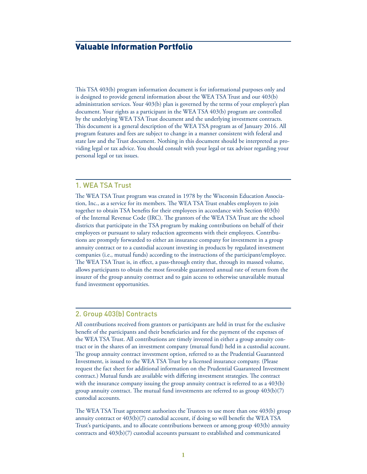# Valuable Information Portfolio

This TSA 403(b) program information document is for informational purposes only and is designed to provide general information about the WEA TSA Trust and our 403(b) administration services. Your 403(b) plan is governed by the terms of your employer's plan document. Your rights as a participant in the WEA TSA 403(b) program are controlled by the underlying WEA TSA Trust document and the underlying investment contracts. This document is a general description of the WEA TSA program as of January 2016. All program features and fees are subject to change in a manner consistent with federal and state law and the Trust document. Nothing in this document should be interpreted as providing legal or tax advice. You should consult with your legal or tax advisor regarding your personal legal or tax issues.

#### 1. WEA TSA Trust

The WEA TSA Trust program was created in 1978 by the Wisconsin Education Association, Inc., as a service for its members. The WEA TSA Trust enables employers to join together to obtain TSA benefits for their employees in accordance with Section 403(b) of the Internal Revenue Code (IRC). The grantors of the WEA TSA Trust are the school districts that participate in the TSA program by making contributions on behalf of their employees or pursuant to salary reduction agreements with their employees. Contributions are promptly forwarded to either an insurance company for investment in a group annuity contract or to a custodial account investing in products by regulated investment companies (i.e., mutual funds) according to the instructions of the participant/employee. The WEA TSA Trust is, in effect, a pass-through entity that, through its massed volume, allows participants to obtain the most favorable guaranteed annual rate of return from the insurer of the group annuity contract and to gain access to otherwise unavailable mutual fund investment opportunities.

## 2. Group 403(b) Contracts

All contributions received from grantors or participants are held in trust for the exclusive benefit of the participants and their beneficiaries and for the payment of the expenses of the WEA TSA Trust. All contributions are timely invested in either a group annuity contract or in the shares of an investment company (mutual fund) held in a custodial account. The group annuity contract investment option, referred to as the Prudential Guaranteed Investment, is issued to the WEA TSA Trust by a licensed insurance company. (Please request the fact sheet for additional information on the Prudential Guaranteed Investment contract.) Mutual funds are available with differing investment strategies. The contract with the insurance company issuing the group annuity contract is referred to as a 403(b) group annuity contract. The mutual fund investments are referred to as group  $403(b)(7)$ custodial accounts.

The WEA TSA Trust agreement authorizes the Trustees to use more than one 403(b) group annuity contract or  $403(b)(7)$  custodial account, if doing so will benefit the WEA TSA Trust's participants, and to allocate contributions between or among group 403(b) annuity contracts and 403(b)(7) custodial accounts pursuant to established and communicated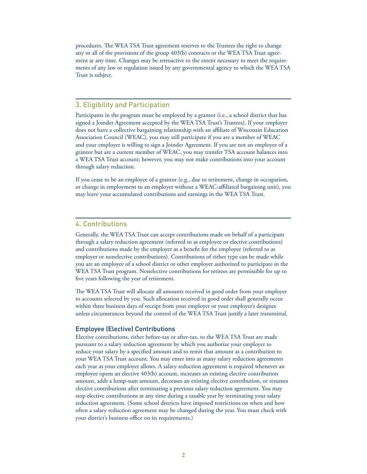procedures. The WEA TSA Trust agreement reserves to the Trustees the right to change any or all of the provisions of the group 403(b) contracts or the WEA TSA Trust agreement at any time. Changes may be retroactive to the extent necessary to meet the requirements of any law or regulation issued by any governmental agency to which the WEA TSA Trust is subject.

# 3. Eligibility and Participation

Participants in the program must be employed by a grantor (i.e., a school district that has signed a Joinder Agreement accepted by the WEA TSA Trust's Trustees). If your employer does not have a collective bargaining relationship with an affiliate of Wisconsin Education Association Council (WEAC), you may still participate if you are a member of WEAC and your employer is willing to sign a Joinder Agreement. If you are not an employee of a grantor but are a current member of WEAC, you may transfer TSA account balances into a WEA TSA Trust account; however, you may not make contributions into your account through salary reduction.

If you cease to be an employee of a grantor (e.g., due to retirement, change in occupation, or change in employment to an employer without a WEAC-affiliated bargaining unit), you may leave your accumulated contributions and earnings in the WEA TSA Trust.

#### 4. Contributions

Generally, the WEA TSA Trust can accept contributions made on behalf of a participant through a salary reduction agreement (referred to as employee or elective contributions) and contributions made by the employer as a benefit for the employee (referred to as employer or nonelective contributions). Contributions of either type can be made while you are an employee of a school district or other employer authorized to participate in the WEA TSA Trust program. Nonelective contributions for retirees are permissible for up to five years following the year of retirement.

The WEA TSA Trust will allocate all amounts received in good order from your employer to accounts selected by you. Such allocation received in good order shall generally occur within three business days of receipt from your employer or your employer's designee unless circumstances beyond the control of the WEA TSA Trust justify a later transmittal.

#### Employee (Elective) Contributions

Elective contributions, either before-tax or after-tax, to the WEA TSA Trust are made pursuant to a salary reduction agreement by which you authorize your employer to reduce your salary by a specified amount and to remit that amount as a contribution to your WEA TSA Trust account. You may enter into as many salary reduction agreements each year as your employer allows. A salary reduction agreement is required whenever an employee opens an elective 403(b) account, increases an existing elective contribution amount, adds a lump-sum amount, decreases an existing elective contribution, or resumes elective contributions after terminating a previous salary reduction agreement. You may stop elective contributions at any time during a taxable year by terminating your salary reduction agreement. (Some school districts have imposed restrictions on when and how often a salary reduction agreement may be changed during the year. You must check with your district's business office on its requirements.)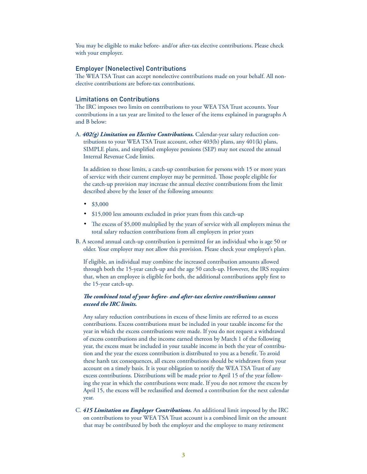You may be eligible to make before- and/or after-tax elective contributions. Please check with your employer.

#### Employer (Nonelective) Contributions

The WEA TSA Trust can accept nonelective contributions made on your behalf. All nonelective contributions are before-tax contributions.

#### Limitations on Contributions

The IRC imposes two limits on contributions to your WEA TSA Trust accounts. Your contributions in a tax year are limited to the lesser of the items explained in paragraphs A and B below:

A. *402(g) Limitation on Elective Contributions.* Calendar-year salary reduction contributions to your WEA TSA Trust account, other 403(b) plans, any 401(k) plans, SIMPLE plans, and simplified employee pensions (SEP) may not exceed the annual Internal Revenue Code limits.

In addition to those limits, a catch-up contribution for persons with 15 or more years of service with their current employer may be permitted. Those people eligible for the catch-up provision may increase the annual elective contributions from the limit described above by the lesser of the following amounts:

- \$3,000
- \$15,000 less amounts excluded in prior years from this catch-up
- The excess of \$5,000 multiplied by the years of service with all employers minus the total salary reduction contributions from all employers in prior years
- B. A second annual catch-up contribution is permitted for an individual who is age 50 or older. Your employer may not allow this provision. Please check your employer's plan.

If eligible, an individual may combine the increased contribution amounts allowed through both the 15-year catch-up and the age 50 catch-up. However, the IRS requires that, when an employee is eligible for both, the additional contributions apply first to the 15-year catch-up.

#### *The combined total of your before- and after-tax elective contributions cannot exceed the IRC limits.*

Any salary reduction contributions in excess of these limits are referred to as excess contributions. Excess contributions must be included in your taxable income for the year in which the excess contributions were made. If you do not request a withdrawal of excess contributions and the income earned thereon by March 1 of the following year, the excess must be included in your taxable income in both the year of contribution and the year the excess contribution is distributed to you as a benefit. To avoid these harsh tax consequences, all excess contributions should be withdrawn from your account on a timely basis. It is your obligation to notify the WEA TSA Trust of any excess contributions. Distributions will be made prior to April 15 of the year following the year in which the contributions were made. If you do not remove the excess by April 15, the excess will be reclassified and deemed a contribution for the next calendar year.

C. *415 Limitation on Employer Contributions.* An additional limit imposed by the IRC on contributions to your WEA TSA Trust account is a combined limit on the amount that may be contributed by both the employer and the employee to many retirement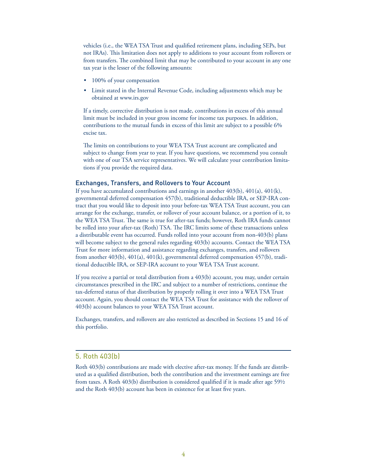vehicles (i.e., the WEA TSA Trust and qualified retirement plans, including SEPs, but not IRAs). This limitation does not apply to additions to your account from rollovers or from transfers. The combined limit that may be contributed to your account in any one tax year is the lesser of the following amounts:

- 100% of your compensation
- Limit stated in the Internal Revenue Code, including adjustments which may be obtained at www.irs.gov

If a timely, corrective distribution is not made, contributions in excess of this annual limit must be included in your gross income for income tax purposes. In addition, contributions to the mutual funds in excess of this limit are subject to a possible 6% excise tax.

The limits on contributions to your WEA TSA Trust account are complicated and subject to change from year to year. If you have questions, we recommend you consult with one of our TSA service representatives. We will calculate your contribution limitations if you provide the required data.

#### Exchanges, Transfers, and Rollovers to Your Account

If you have accumulated contributions and earnings in another 403(b), 401(a), 401(k), governmental deferred compensation 457(b), traditional deductible IRA, or SEP-IRA contract that you would like to deposit into your before-tax WEA TSA Trust account, you can arrange for the exchange, transfer, or rollover of your account balance, or a portion of it, to the WEA TSA Trust. The same is true for after-tax funds; however, Roth IRA funds cannot be rolled into your after-tax (Roth) TSA. The IRC limits some of these transactions unless a distributable event has occurred. Funds rolled into your account from non-403(b) plans will become subject to the general rules regarding 403(b) accounts. Contact the WEA TSA Trust for more information and assistance regarding exchanges, transfers, and rollovers from another 403(b), 401(a), 401(k), governmental deferred compensation 457(b), traditional deductible IRA, or SEP-IRA account to your WEA TSA Trust account.

If you receive a partial or total distribution from a 403(b) account, you may, under certain circumstances prescribed in the IRC and subject to a number of restrictions, continue the tax-deferred status of that distribution by properly rolling it over into a WEA TSA Trust account. Again, you should contact the WEA TSA Trust for assistance with the rollover of 403(b) account balances to your WEA TSA Trust account.

Exchanges, transfers, and rollovers are also restricted as described in Sections 15 and 16 of this portfolio.

## 5. Roth 403(b)

Roth 403(b) contributions are made with elective after-tax money. If the funds are distributed as a qualified distribution, both the contribution and the investment earnings are free from taxes. A Roth  $403(b)$  distribution is considered qualified if it is made after age 591/2 and the Roth 403(b) account has been in existence for at least five years.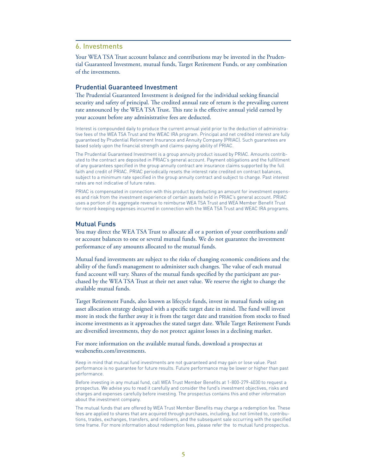#### 6. Investments

Your WEA TSA Trust account balance and contributions may be invested in the Prudential Guaranteed Investment, mutual funds, Target Retirement Funds, or any combination of the investments.

#### Prudential Guaranteed Investment

The Prudential Guaranteed Investment is designed for the individual seeking financial security and safety of principal. The credited annual rate of return is the prevailing current rate announced by the WEA TSA Trust. This rate is the effective annual yield earned by your account before any administrative fees are deducted.

Interest is compounded daily to produce the current annual yield prior to the deduction of administrative fees of the WEA TSA Trust and the WEAC IRA program. Principal and net credited interest are fully guaranteed by Prudential Retirement Insurance and Annuity Company (PRIAC). Such guarantees are based solely upon the financial strength and claims-paying ability of PRIAC.

The Prudential Guaranteed Investment is a group annuity product issued by PRIAC. Amounts contributed to the contract are deposited in PRIAC's general account. Payment obligations and the fulfillment of any quarantees specified in the group annuity contract are insurance claims supported by the full faith and credit of PRIAC. PRIAC periodically resets the interest rate credited on contract balances, subject to a minimum rate specified in the group annuity contract and subject to change. Past interest rates are not indicative of future rates.

PRIAC is compensated in connection with this product by deducting an amount for investment expenses and risk from the investment experience of certain assets held in PRIAC's general account. PRIAC uses a portion of its aggregate revenue to reimburse WEA TSA Trust and WEA Member Benefit Trust for record-keeping expenses incurred in connection with the WEA TSA Trust and WEAC IRA programs.

#### Mutual Funds

You may direct the WEA TSA Trust to allocate all or a portion of your contributions and/ or account balances to one or several mutual funds. We do not guarantee the investment performance of any amounts allocated to the mutual funds.

Mutual fund investments are subject to the risks of changing economic conditions and the ability of the fund's management to administer such changes. The value of each mutual fund account will vary. Shares of the mutual funds specified by the participant are purchased by the WEA TSA Trust at their net asset value. We reserve the right to change the available mutual funds.

Target Retirement Funds, also known as lifecycle funds, invest in mutual funds using an asset allocation strategy designed with a specific target date in mind. The fund will invest more in stock the further away it is from the target date and transition from stocks to fixed income investments as it approaches the stated target date. While Target Retirement Funds are diversified investments, they do not protect against losses in a declining market.

For more information on the available mutual funds, download a prospectus at weabenefits.com/investments.

Keep in mind that mutual fund investments are not guaranteed and may gain or lose value. Past performance is no guarantee for future results. Future performance may be lower or higher than past performance.

Before investing in any mutual fund, call WEA Trust Member Benefits at 1-800-279-4030 to request a prospectus. We advise you to read it carefully and consider the fund's investment objectives, risks and charges and expenses carefully before investing. The prospectus contains this and other information about the investment company.

The mutual funds that are offered by WEA Trust Member Benefits may charge a redemption fee. These fees are applied to shares that are acquired through purchases, including, but not limited to, contributions, trades, exchanges, transfers, and rollovers, and the subsequent sale occurring with the specified time frame. For more information about redemption fees, please refer the to mutual fund prospectus.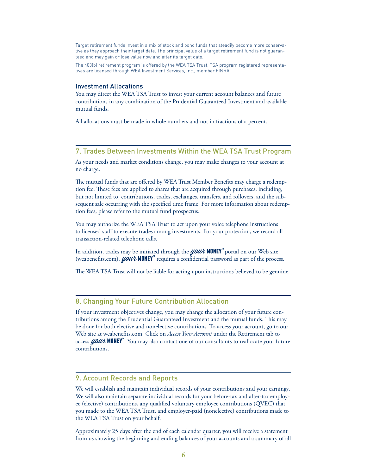Target retirement funds invest in a mix of stock and bond funds that steadily become more conservative as they approach their target date. The principal value of a target retirement fund is not guaranteed and may gain or lose value now and after its target date.

The 403(b) retirement program is offered by the WEA TSA Trust. TSA program registered representatives are licensed through WEA Investment Services, Inc., member FINRA.

#### Investment Allocations

You may direct the WEA TSA Trust to invest your current account balances and future contributions in any combination of the Prudential Guaranteed Investment and available mutual funds.

All allocations must be made in whole numbers and not in fractions of a percent.

#### 7. Trades Between Investments Within the WEA TSA Trust Program

As your needs and market conditions change, you may make changes to your account at no charge.

The mutual funds that are offered by WEA Trust Member Benefits may charge a redemption fee. These fees are applied to shares that are acquired through purchases, including, but not limited to, contributions, trades, exchanges, transfers, and rollovers, and the subsequent sale occurring with the specified time frame. For more information about redemption fees, please refer to the mutual fund prospectus.

You may authorize the WEA TSA Trust to act upon your voice telephone instructions to licensed staff to execute trades among investments. For your protection, we record all transaction-related telephone calls.

In addition, trades may be initiated through the **your MONEY**<sup>™</sup> portal on our Web site (weabenefits.com). *your* **MONEY**<sup>"</sup> requires a confidential password as part of the process.

The WEA TSA Trust will not be liable for acting upon instructions believed to be genuine.

#### 8. Changing Your Future Contribution Allocation

If your investment objectives change, you may change the allocation of your future contributions among the Prudential Guaranteed Investment and the mutual funds. This may be done for both elective and nonelective contributions. To access your account, go to our Web site at weabenefits.com. Click on *Access Your Account* under the Retirement tab to access *your* MONEY". You may also contact one of our consultants to reallocate your future contributions.

# 9. Account Records and Reports

We will establish and maintain individual records of your contributions and your earnings. We will also maintain separate individual records for your before-tax and after-tax employee (elective) contributions, any qualified voluntary employee contributions (QVEC) that you made to the WEA TSA Trust, and employer-paid (nonelective) contributions made to the WEA TSA Trust on your behalf.

Approximately 25 days after the end of each calendar quarter, you will receive a statement from us showing the beginning and ending balances of your accounts and a summary of all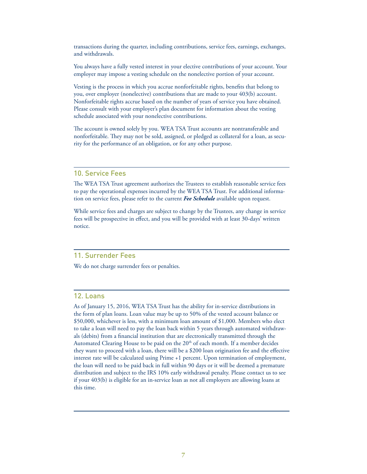transactions during the quarter, including contributions, service fees, earnings, exchanges, and withdrawals.

You always have a fully vested interest in your elective contributions of your account. Your employer may impose a vesting schedule on the nonelective portion of your account.

Vesting is the process in which you accrue nonforfeitable rights, benefits that belong to you, over employer (nonelective) contributions that are made to your 403(b) account. Nonforfeitable rights accrue based on the number of years of service you have obtained. Please consult with your employer's plan document for information about the vesting schedule associated with your nonelective contributions.

The account is owned solely by you. WEA TSA Trust accounts are nontransferable and nonforfeitable. They may not be sold, assigned, or pledged as collateral for a loan, as security for the performance of an obligation, or for any other purpose.

#### 10. Service Fees

The WEA TSA Trust agreement authorizes the Trustees to establish reasonable service fees to pay the operational expenses incurred by the WEA TSA Trust. For additional information on service fees, please refer to the current *Fee Schedule* available upon request.

While service fees and charges are subject to change by the Trustees, any change in service fees will be prospective in effect, and you will be provided with at least 30-days' written notice.

#### 11. Surrender Fees

We do not charge surrender fees or penalties.

#### 12. Loans

As of January 15, 2016, WEA TSA Trust has the ability for in-service distributions in the form of plan loans. Loan value may be up to 50% of the vested account balance or \$50,000, whichever is less, with a minimum loan amount of \$1,000. Members who elect to take a loan will need to pay the loan back within 5 years through automated withdrawals (debits) from a financial institution that are electronically transmitted through the Automated Clearing House to be paid on the 20<sup>th</sup> of each month. If a member decides they want to proceed with a loan, there will be a \$200 loan origination fee and the effective interest rate will be calculated using Prime +1 percent. Upon termination of employment, the loan will need to be paid back in full within 90 days or it will be deemed a premature distribution and subject to the IRS 10% early withdrawal penalty. Please contact us to see if your 403(b) is eligible for an in-service loan as not all employers are allowing loans at this time.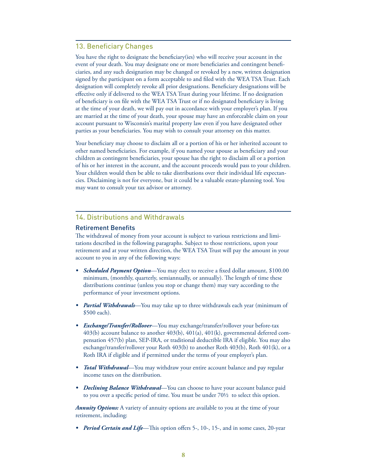# 13. Beneficiary Changes

You have the right to designate the beneficiary(ies) who will receive your account in the event of your death. You may designate one or more beneficiaries and contingent beneficiaries, and any such designation may be changed or revoked by a new, written designation signed by the participant on a form acceptable to and filed with the WEA TSA Trust. Each designation will completely revoke all prior designations. Beneficiary designations will be effective only if delivered to the WEA TSA Trust during your lifetime. If no designation of beneficiary is on file with the WEA TSA Trust or if no designated beneficiary is living at the time of your death, we will pay out in accordance with your employer's plan. If you are married at the time of your death, your spouse may have an enforceable claim on your account pursuant to Wisconsin's marital property law even if you have designated other parties as your beneficiaries. You may wish to consult your attorney on this matter.

Your beneficiary may choose to disclaim all or a portion of his or her inherited account to other named beneficiaries. For example, if you named your spouse as beneficiary and your children as contingent beneficiaries, your spouse has the right to disclaim all or a portion of his or her interest in the account, and the account proceeds would pass to your children. Your children would then be able to take distributions over their individual life expectancies. Disclaiming is not for everyone, but it could be a valuable estate-planning tool. You may want to consult your tax advisor or attorney.

# 14. Distributions and Withdrawals

#### **Retirement Benefits**

The withdrawal of money from your account is subject to various restrictions and limitations described in the following paragraphs. Subject to those restrictions, upon your retirement and at your written direction, the WEA TSA Trust will pay the amount in your account to you in any of the following ways:

- **Scheduled Payment Option**—You may elect to receive a fixed dollar amount, \$100.00 minimum, (monthly, quarterly, semiannually, or annually). The length of time these distributions continue (unless you stop or change them) may vary according to the performance of your investment options.
- *Partial Withdrawals*—You may take up to three withdrawals each year (minimum of \$500 each).
- *Exchange/Transfer/Rollover*—You may exchange/transfer/rollover your before-tax 403(b) account balance to another 403(b), 401(a), 401(k), governmental deferred compensation 457(b) plan, SEP-IRA, or traditional deductible IRA if eligible. You may also exchange/transfer/rollover your Roth 403(b) to another Roth 403(b), Roth 401(k), or a Roth IRA if eligible and if permitted under the terms of your employer's plan.
- *Total Withdrawal*—You may withdraw your entire account balance and pay regular income taxes on the distribution.
- *Declining Balance Withdrawal*—You can choose to have your account balance paid to you over a specific period of time. You must be under  $70\frac{1}{2}$  to select this option.

*Annuity Options:* A variety of annuity options are available to you at the time of your retirement, including:

*Period Certain and Life*—This option offers 5-, 10-, 15-, and in some cases, 20-year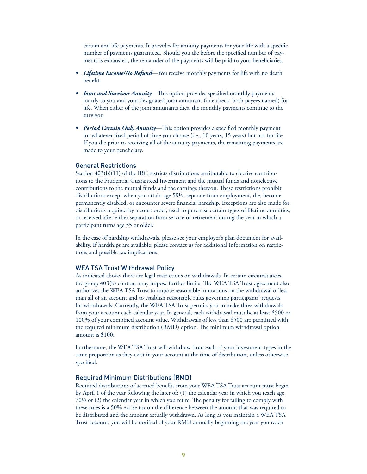certain and life payments. It provides for annuity payments for your life with a specific number of payments guaranteed. Should you die before the specified number of payments is exhausted, the remainder of the payments will be paid to your beneficiaries.

- *Lifetime Income/No Refund*—You receive monthly payments for life with no death benefit.
- *Joint and Survivor Annuity*—This option provides specified monthly payments jointly to you and your designated joint annuitant (one check, both payees named) for life. When either of the joint annuitants dies, the monthly payments continue to the survivor.
- *Period Certain Only Annuity*—This option provides a specified monthly payment for whatever fixed period of time you choose (i.e., 10 years, 15 years) but not for life. If you die prior to receiving all of the annuity payments, the remaining payments are made to your beneficiary.

#### General Restrictions

Section 403(b)(11) of the IRC restricts distributions attributable to elective contributions to the Prudential Guaranteed Investment and the mutual funds and nonelective contributions to the mutual funds and the earnings thereon. These restrictions prohibit distributions except when you attain age 59½, separate from employment, die, become permanently disabled, or encounter severe nancial hardship. Exceptions are also made for distributions required by a court order, used to purchase certain types of lifetime annuities, or received after either separation from service or retirement during the year in which a participant turns age 55 or older.

In the case of hardship withdrawals, please see your employer's plan document for availability. If hardships are available, please contact us for additional information on restrictions and possible tax implications.

#### WEA TSA Trust Withdrawal Policy

As indicated above, there are legal restrictions on withdrawals. In certain circumstances, the group 403(b) contract may impose further limits. The WEA TSA Trust agreement also authorizes the WEA TSA Trust to impose reasonable limitations on the withdrawal of less than all of an account and to establish reasonable rules governing participants' requests for withdrawals. Currently, the WEA TSA Trust permits you to make three withdrawals from your account each calendar year. In general, each withdrawal must be at least \$500 or 100% of your combined account value. Withdrawals of less than \$500 are permitted with the required minimum distribution (RMD) option. The minimum withdrawal option amount is \$100.

Furthermore, the WEA TSA Trust will withdraw from each of your investment types in the same proportion as they exist in your account at the time of distribution, unless otherwise specified.

#### Required Minimum Distributions (RMD)

Required distributions of accrued benefits from your WEA TSA Trust account must begin by April 1 of the year following the later of: (1) the calendar year in which you reach age  $70\frac{1}{2}$  or (2) the calendar year in which you retire. The penalty for failing to comply with these rules is a 50% excise tax on the difference between the amount that was required to be distributed and the amount actually withdrawn. As long as you maintain a WEA TSA Trust account, you will be notified of your RMD annually beginning the year you reach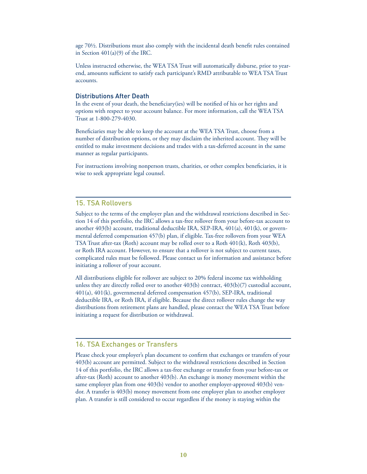age  $70\frac{1}{2}$ . Distributions must also comply with the incidental death benefit rules contained in Section 401(a)(9) of the IRC.

Unless instructed otherwise, the WEA TSA Trust will automatically disburse, prior to yearend, amounts sufficient to satisfy each participant's RMD attributable to WEA TSA Trust accounts.

#### Distributions After Death

In the event of your death, the beneficiary(ies) will be notified of his or her rights and options with respect to your account balance. For more information, call the WEA TSA Trust at 1-800-279-4030.

Beneficiaries may be able to keep the account at the WEA TSA Trust, choose from a number of distribution options, or they may disclaim the inherited account. They will be entitled to make investment decisions and trades with a tax-deferred account in the same manner as regular participants.

For instructions involving nonperson trusts, charities, or other complex beneficiaries, it is wise to seek appropriate legal counsel.

#### 15. TSA Rollovers

Subject to the terms of the employer plan and the withdrawal restrictions described in Section 14 of this portfolio, the IRC allows a tax-free rollover from your before-tax account to another 403(b) account, traditional deductible IRA, SEP-IRA, 401(a), 401(k), or governmental deferred compensation 457(b) plan, if eligible. Tax-free rollovers from your WEA TSA Trust after-tax (Roth) account may be rolled over to a Roth 401(k), Roth 403(b), or Roth IRA account. However, to ensure that a rollover is not subject to current taxes, complicated rules must be followed. Please contact us for information and assistance before initiating a rollover of your account.

All distributions eligible for rollover are subject to 20% federal income tax withholding unless they are directly rolled over to another 403(b) contract, 403(b)(7) custodial account, 401(a), 401(k), governmental deferred compensation 457(b), SEP-IRA, traditional deductible IRA, or Roth IRA, if eligible. Because the direct rollover rules change the way distributions from retirement plans are handled, please contact the WEA TSA Trust before initiating a request for distribution or withdrawal.

# 16. TSA Exchanges or Transfers

Please check your employer's plan document to confirm that exchanges or transfers of your 403(b) account are permitted. Subject to the withdrawal restrictions described in Section 14 of this portfolio, the IRC allows a tax-free exchange or transfer from your before-tax or after-tax (Roth) account to another 403(b). An exchange is money movement within the same employer plan from one 403(b) vendor to another employer-approved 403(b) vendor. A transfer is 403(b) money movement from one employer plan to another employer plan. A transfer is still considered to occur regardless if the money is staying within the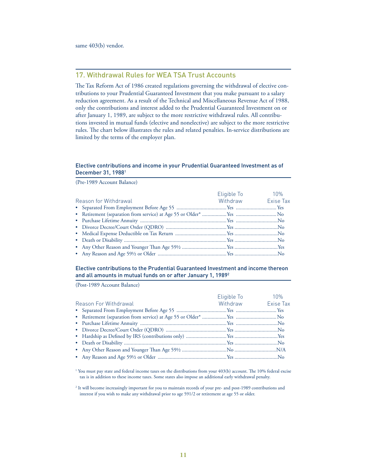same 403(b) vendor.

# 17. Withdrawal Rules for WEA TSA Trust Accounts

The Tax Reform Act of 1986 created regulations governing the withdrawal of elective contributions to your Prudential Guaranteed Investment that you make pursuant to a salary reduction agreement. As a result of the Technical and Miscellaneous Revenue Act of 1988, only the contributions and interest added to the Prudential Guaranteed Investment on or after January 1, 1989, are subject to the more restrictive withdrawal rules. All contributions invested in mutual funds (elective and nonelective) are subject to the more restrictive rules. The chart below illustrates the rules and related penalties. In-service distributions are limited by the terms of the employer plan.

#### Elective contributions and income in your Prudential Guaranteed Investment as of December 31, 1988<sup>1</sup>

(Pre-1989 Account Balance)

|                       | Eligible To        | 10% |
|-----------------------|--------------------|-----|
| Reason for Withdrawal | Withdraw Exise Tax |     |
|                       |                    |     |
|                       |                    |     |
|                       |                    |     |
|                       |                    |     |
|                       |                    |     |
|                       |                    |     |
|                       |                    |     |
|                       |                    |     |

#### Elective contributions to the Prudential Guaranteed Investment and income thereon and all amounts in mutual funds on or after January 1, 1989<sup>2</sup>

(Post-1989 Account Balance)

|                       | Eligible To <b>Eligible</b> | 10% |
|-----------------------|-----------------------------|-----|
| Reason For Withdrawal | Withdraw Exise Tax          |     |
|                       |                             |     |
|                       |                             |     |
|                       |                             |     |
|                       |                             |     |
|                       |                             |     |
|                       |                             |     |
|                       |                             |     |
|                       |                             |     |

<sup>1</sup> You must pay state and federal income taxes on the distributions from your 403(b) account. The 10% federal excise tax is in addition to these income taxes. Some states also impose an additional early withdrawal penalty.

2 It will become increasingly important for you to maintain records of your pre- and post-1989 contributions and interest if you wish to make any withdrawal prior to age 591/2 or retirement at age 55 or older.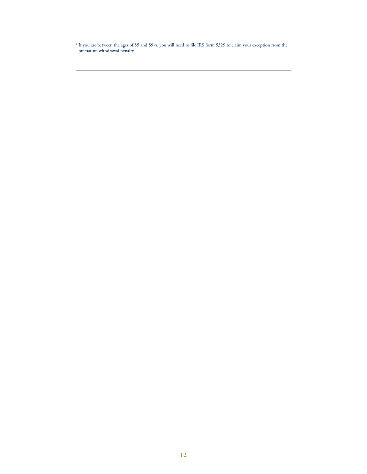\* If you are between the ages of 55 and 59½, you will need to le IRS form 5329 to claim your exception from the premature withdrawal penalty.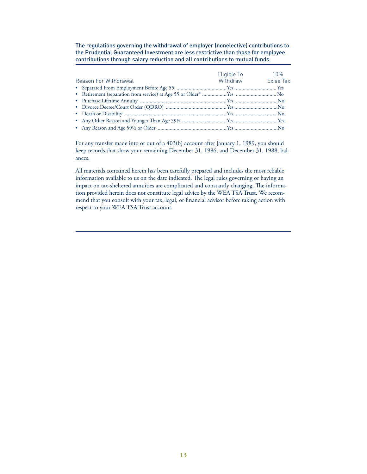The regulations governing the withdrawal of employer (nonelective) contributions to the Prudential Guaranteed Investment are less restrictive than those for employee contributions through salary reduction and all contributions to mutual funds.

| Reason For Withdrawal | Eligible To <b>Eligible</b> To<br>Withdraw Exise Tax | 10% |
|-----------------------|------------------------------------------------------|-----|
|                       |                                                      |     |
|                       |                                                      |     |
|                       |                                                      |     |
|                       |                                                      |     |
|                       |                                                      |     |
|                       |                                                      |     |
|                       |                                                      |     |

For any transfer made into or out of a 403(b) account after January 1, 1989, you should keep records that show your remaining December 31, 1986, and December 31, 1988, balances.

All materials contained herein has been carefully prepared and includes the most reliable information available to us on the date indicated. The legal rules governing or having an impact on tax-sheltered annuities are complicated and constantly changing. The information provided herein does not constitute legal advice by the WEA TSA Trust. We recommend that you consult with your tax, legal, or financial advisor before taking action with respect to your WEA TSA Trust account.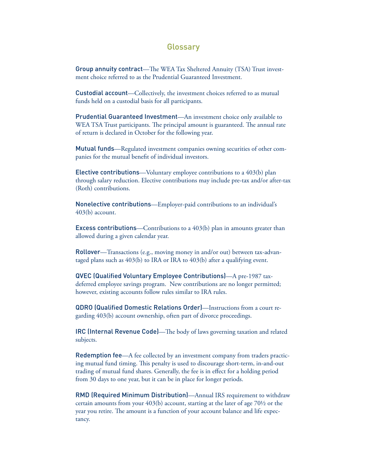# **Glossary**

Group annuity contract—The WEA Tax Sheltered Annuity (TSA) Trust investment choice referred to as the Prudential Guaranteed Investment.

Custodial account—Collectively, the investment choices referred to as mutual funds held on a custodial basis for all participants.

Prudential Guaranteed Investment—An investment choice only available to WEA TSA Trust participants. The principal amount is guaranteed. The annual rate of return is declared in October for the following year.

Mutual funds—Regulated investment companies owning securities of other companies for the mutual benefit of individual investors.

Elective contributions—Voluntary employee contributions to a 403(b) plan through salary reduction. Elective contributions may include pre-tax and/or after-tax (Roth) contributions.

Nonelective contributions—Employer-paid contributions to an individual's 403(b) account.

Excess contributions—Contributions to a 403(b) plan in amounts greater than allowed during a given calendar year.

Rollover—Transactions (e.g., moving money in and/or out) between tax-advantaged plans such as 403(b) to IRA or IRA to 403(b) after a qualifying event.

QVEC (Qualified Voluntary Employee Contributions)—A pre-1987 taxdeferred employee savings program. New contributions are no longer permitted; however, existing accounts follow rules similar to IRA rules.

**QDRO (Qualified Domestic Relations Order)**—Instructions from a court regarding 403(b) account ownership, often part of divorce proceedings.

IRC (Internal Revenue Code)— The body of laws governing taxation and related subjects.

Redemption fee—A fee collected by an investment company from traders practicing mutual fund timing. This penalty is used to discourage short-term, in-and-out trading of mutual fund shares. Generally, the fee is in effect for a holding period from 30 days to one year, but it can be in place for longer periods.

RMD (Required Minimum Distribution)—Annual IRS requirement to withdraw certain amounts from your 403(b) account, starting at the later of age 70½ or the year you retire. The amount is a function of your account balance and life expectancy.